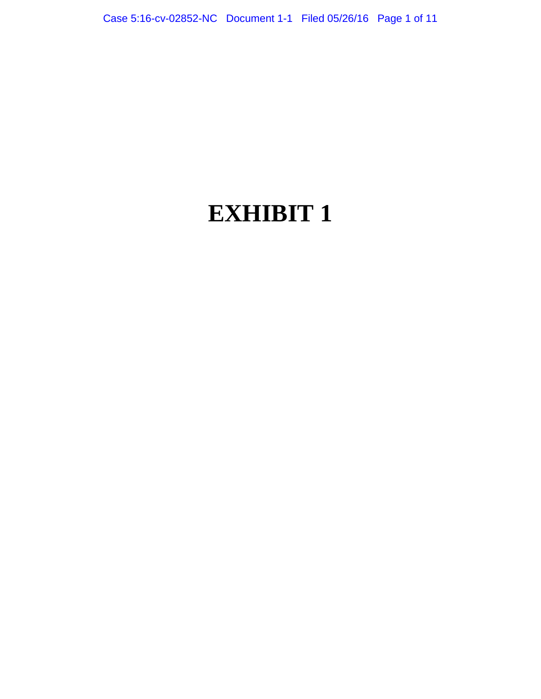# **EXHIBIT 1**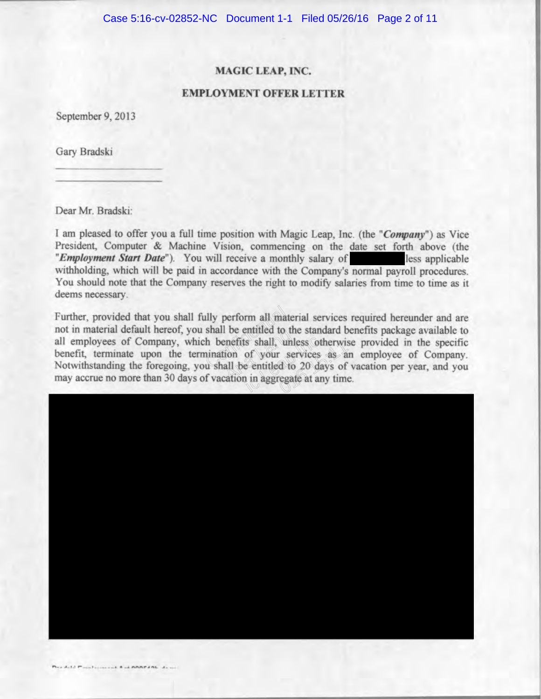# **MAGIC LEAP, INC.**

# **EMPLOYMENT OFFER LETTER**

September 9, 2013

Gary Bradski

Dear Mr. Bradski:

I am pleased to offer you a full time position with Magic Leap, Inc. (the "Company") as Vice President, Computer & Machine Vision, commencing on the date set forth above (the "Employment Start Date"). You will receive a monthly salary of less applicable withholding, which will be paid in accordance with the Company's normal payroll procedures. You should note that the Company reserves the right to modify salaries from time to time as it deems necessary.

Further, provided that you shall fully perform all material services required hereunder and are not in material default hereof, you shall be entitled to the standard benefits package available to all employees of Company, which benefits shall unless otherwise provided in the specific benefit, terminate upon the termination of your services as an employee of Company. Notwithstanding the foregoing, you shall be entitled to 20 days of vacation per year, and you may accrue no more than 30 days of vacation in aggregate at any time.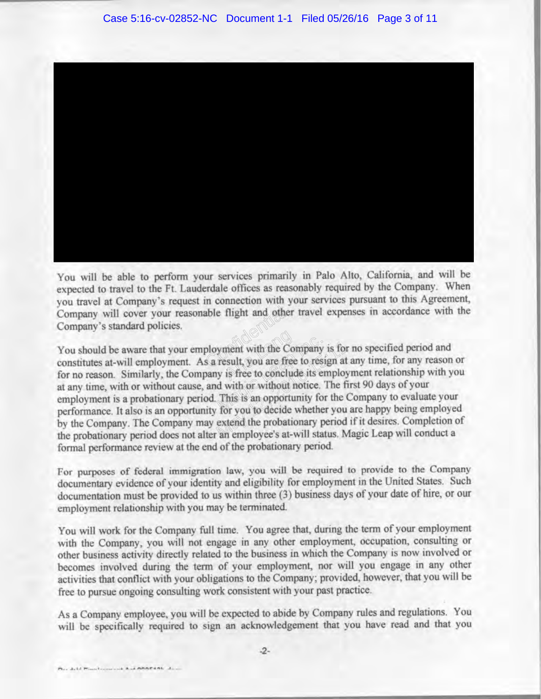You will be able to perform your services primarily in Palo Alto, California, and will be expected to travel to the Ft. Lauderdale offices as reasonably required by the Company. When Company's standard policies.

able flight and other<br>ployment with the C<br>s a result you are fr with the Company is for<br>
result, you are free to resign at<br>
in is free to conclude its employ<br>
d with or without notice. The fit<br>
This is an opportunity for the C<br>
for you to decide whether you<br>
extend the probationary per formal performance review at the end of the probationary period.

For purposes of federal immigration law, you will be required to provide to the Company documentary evidence of your identity and eligibility for employment in the United States. Such documentation must be provided to us within three (3) business days of your date of hire, or our employment relationship with you may be terminated.

You will work for the Company full time. You agree that, during the term of your employment with the Company, you will not engage in any other employment, occupation, consulting or other business activity directly related to the business in which the Company is now involved or becomes involved during the term of your employment, nor will you engage in any other activities that conflict with your obligations to the Company; provided, however, that you will be free to pursue ongoing consulting work consistent with your past practice.

As a Company employee, you will be expected to abide by Company rules and regulations. You will be specifically required to sign an acknowledgement that you have read and that you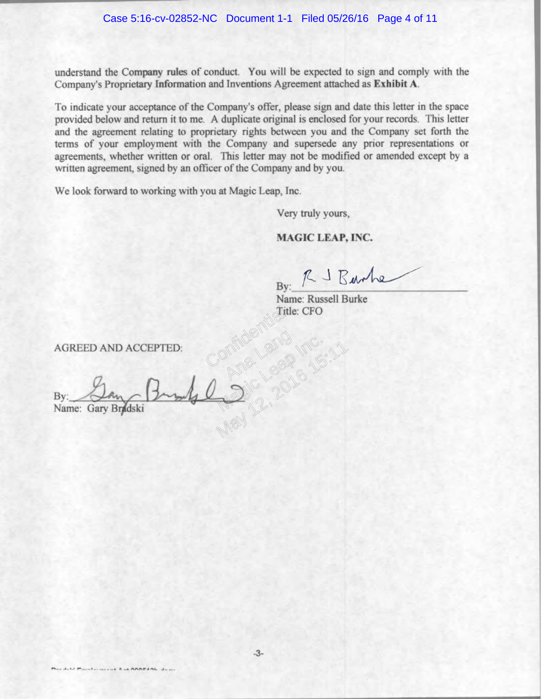understand the Company rules of conduct. You will be expected to sign and comply with the Company's Proprietary Information and Inventions Agreement attached as Exhibit A.

To indicate your acceptance of the Company's offer, please sign and date this letter in the space provided below and return it to me. A duplicate original is enclosed for your records. This letter and the agreement relating to proprietary rights between you and the Company set forth the terms of your employment with the Company and supersede any prior representations or agreements, whether written or oral. This letter may not be modified or amended except by a written agreement, signed by an officer of the Company and by you.

We look forward to working with you at Magic Leap, Inc.

Very truly yours,

# **MAGIC LEAP, INC.**

By: RJ Banhe

Name: Russell Burke Confidential

**AGREED AND ACCEPTED:** 

May 12, 2016 16:11 Name: Gary Bradski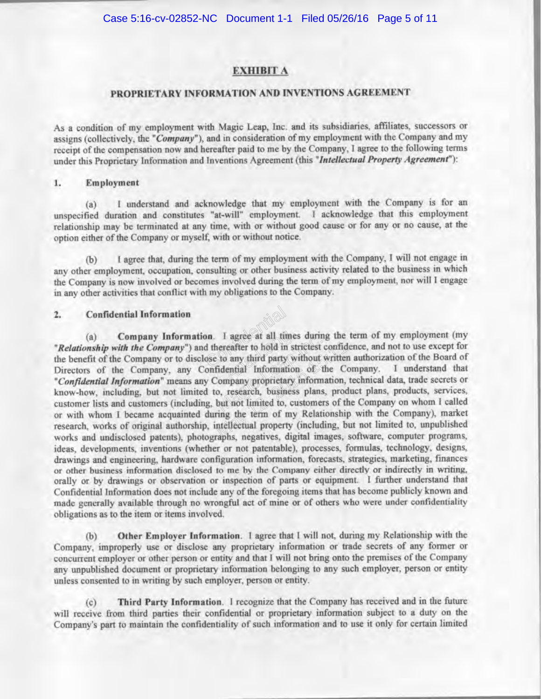# **EXHIBIT A**

# PROPRIETARY INFORMATION AND INVENTIONS AGREEMENT

As a condition of my employment with Magic Leap, Inc. and its subsidiaries, affiliates, successors or assigns (collectively, the "Company"), and in consideration of my employment with the Company and my receipt of the compensation now and hereafter paid to me by the Company. I agree to the following terms under this Proprietary Information and Inventions Agreement (this "Intellectual Property Agreement"):

#### 1. Employment

I understand and acknowledge that my employment with the Company is for an  $(a)$ unspecified duration and constitutes "at-will" employment. I acknowledge that this employment relationship may be terminated at any time, with or without good cause or for any or no cause, at the option either of the Company or myself, with or without notice.

I agree that, during the term of my employment with the Company, I will not engage in  $(b)$ any other employment, occupation, consulting or other business activity related to the business in which the Company is now involved or becomes involved during the term of my employment, nor will I engage in any other activities that conflict with my obligations to the Company.

#### $2.$ **Confidential Information**

Company Information. I agree at all times during the term of my employment (my  $(a)$ "Relationship with the Company") and thereafter to hold in strictest confidence, and not to use except for the benefit of the Company or to disclose to any third party without written authorization of the Board of Directors of the Company, any Confidential Information of the Company. I understand that "Confidential Information" means any Company proprietary information, technical data, trade secrets or know-how, including, but not limited to, research, business plans, product plans, products, services, customer lists and customers (including, but not limited to, customers of the Company on whom I called or with whom I became acquainted during the term of my Relationship with the Company), market research, works of original authorship, intellectual property (including, but not limited to, unpublished works and undisclosed patents), photographs, negatives, digital images, software, computer programs, ideas, developments, inventions (whether or not patentable), processes, formulas, technology, designs, drawings and engineering, hardware configuration information, forecasts, strategies, marketing, finances or other business information disclosed to me by the Company either directly or indirectly in writing. orally or by drawings or observation or inspection of parts or equipment. I further understand that Confidential Information does not include any of the foregoing items that has become publicly known and made generally available through no wrongful act of mine or of others who were under confidentiality obligations as to the item or items involved.

Other Employer Information. 1 agree that I will not, during my Relationship with the Company, improperly use or disclose any proprietary information or trade secrets of any former or concurrent employer or other person or entity and that I will not bring onto the premises of the Company any unpublished document or proprietary information belonging to any such employer, person or entity unless consented to in writing by such employer, person or entity.

Third Party Information. I recognize that the Company has received and in the future  $(c)$ will receive from third parties their confidential or proprietary information subject to a duty on the Company's part to maintain the confidentiality of such information and to use it only for certain limited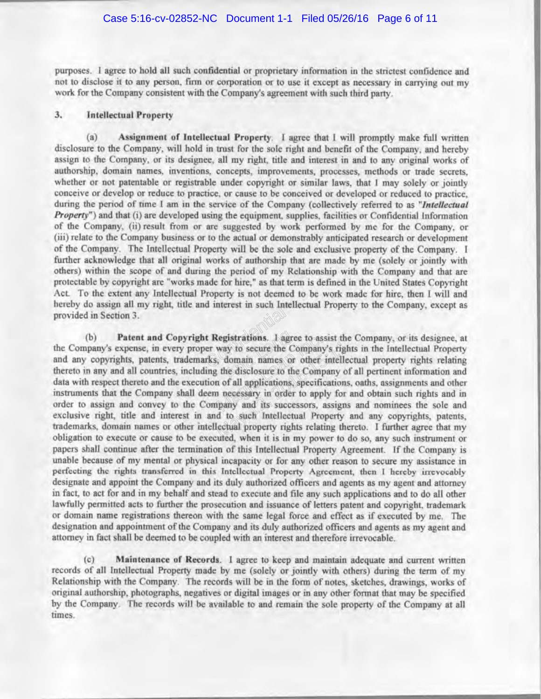purposes. I agree to hold all such confidential or proprietary information in the strictest confidence and not to disclose it to any person, firm or corporation or to use it except as necessary in carrying out my work for the Company consistent with the Company's agreement with such third party.

## **Intellectual Property**  $3.$

 $(a)$ Assignment of Intellectual Property. I agree that I will promptly make full written disclosure to the Company, will hold in trust for the sole right and benefit of the Company, and hereby assign to the Company, or its designee, all my right, title and interest in and to any original works of authorship, domain names, inventions, concepts, improvements, processes, methods or trade secrets. whether or not patentable or registrable under copyright or similar laws, that I may solely or jointly conceive or develop or reduce to practice, or cause to be conceived or developed or reduced to practice. during the period of time I am in the service of the Company (collectively referred to as "Intellectual *Property*") and that (i) are developed using the equipment, supplies, facilities or Confidential Information of the Company, (ii) result from or are suggested by work performed by me for the Company, or (iii) relate to the Company business or to the actual or demonstrably anticipated research or development of the Company. The Intellectual Property will be the sole and exclusive property of the Company. I further acknowledge that all original works of authorship that are made by me (solely or jointly with others) within the scope of and during the period of my Relationship with the Company and that are protectable by copyright are "works made for hire," as that term is defined in the United States Copyright Act. To the extent any Intellectual Property is not deemed to be work made for hire, then I will and provided in Section 3.

t Registrations. And<br>er way to secure the<br>rks, domain names degistrations. I agree to as:<br>way to secure the Company<br>domain names or other;<br>the disclosure to the Comp<br>n of all applications, specific<br>n necessary in order to applicants  $(b)$ the Company's expense, in every proper way to secure the Company's rights in the Intellectual Property<br>and any copyrights, patents, trademarks, domain names or other intellectual property rights relating<br>thereto in any and papers shall continue after the termination of this Intellectual Property Agreement. If the Company is unable because of my mental or physical incapacity or for any other reason to secure my assistance in perfecting the rights transferred in this Intellectual Property Agreement, then I hereby irrevocably designate and appoint the Company and its duly authorized officers and agents as my agent and attorney in fact, to act for and in my behalf and stead to execute and file any such applications and to do all other lawfully permitted acts to further the prosecution and issuance of letters patent and copyright, trademark or domain name registrations thereon with the same legal force and effect as if executed by me. The designation and appointment of the Company and its duly authorized officers and agents as my agent and attorney in fact shall be deemed to be coupled with an interest and therefore irrevocable.

Maintenance of Records. I agree to keep and maintain adequate and current written  $(c)$ records of all Intellectual Property made by me (solely or jointly with others) during the term of my Relationship with the Company. The records will be in the form of notes, sketches, drawings, works of original authorship, photographs, negatives or digital images or in any other format that may be specified by the Company. The records will be available to and remain the sole property of the Company at all times.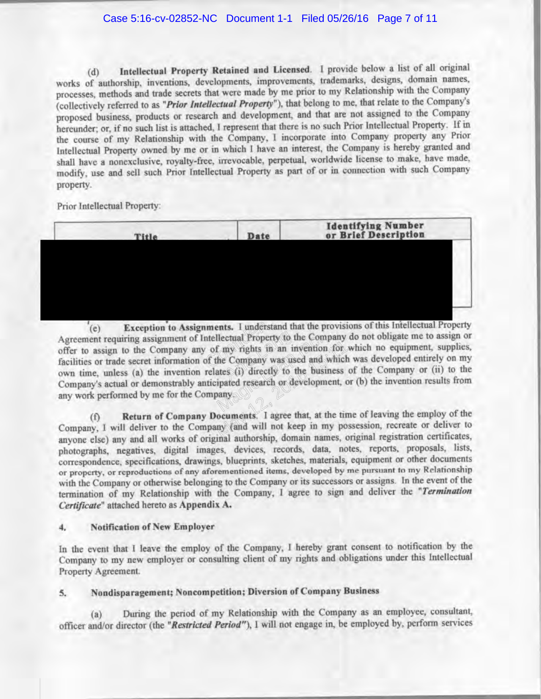Intellectual Property Retained and Licensed. I provide below a list of all original  $(d)$ works of authorship, inventions, developments, improvements, trademarks, designs, domain names, processes, methods and trade secrets that were made by me prior to my Relationship with the Company (collectively referred to as "*Prior Intellectual Property*"), that belong to me, that relate to the Company's proposed business, products or research and development, and that are not assigned to the Company hereunder; or, if no such list is attached, I represent that there is no such Prior Intellectual Property. If in the course of my Relationship with the Company, I incorporate into Company property any Prior Intellectual Property owned by me or in which I have an interest, the Company is hereby granted and shall have a nonexclusive, royalty-free, irrevocable, perpetual, worldwide license to make, have made, modify, use and sell such Prior Intellectual Property as part of or in connection with such Company property.

Prior Intellectual Property:

| Title | Date | <b>Identifying Number</b><br>or Brief Description |  |
|-------|------|---------------------------------------------------|--|
|       |      |                                                   |  |
|       |      |                                                   |  |
|       |      |                                                   |  |
|       |      |                                                   |  |

Confiden  $(e)$ Agreement requiring assignment of Intellectual Property to the Company do not obligate me to assign or<br>offer to assign to the Company any of my rights in an invention for which no equipment, supplies,<br>facilities or trade s Ilectual Property to the Company<br>
f my rights in an invention<br>
the Company was used and<br>
inates (i) directly to the busi<br>
ipated research or developm<br>
vany

 $(f)$ photographs, negatives, digital images, devices, records, data, notes, reports, proposals, lists, correspondence, specifications, drawings, blueprints, sketches, materials, equipment or other documents or property, or reproductions of any aforementioned items, developed by me pursuant to my Relationship with the Company or otherwise belonging to the Company or its successors or assigns. In the event of the termination of my Relationship with the Company, I agree to sign and deliver the "Termination Certificate" attached hereto as Appendix A.

## **Notification of New Employer** 4.

In the event that I leave the employ of the Company, I hereby grant consent to notification by the Company to my new employer or consulting client of my rights and obligations under this Intellectual Property Agreement.

## Nondisparagement; Noncompetition; Diversion of Company Business 5.

During the period of my Relationship with the Company as an employee, consultant,  $(a)$ officer and/or director (the "Restricted Period"), I will not engage in, be employed by, perform services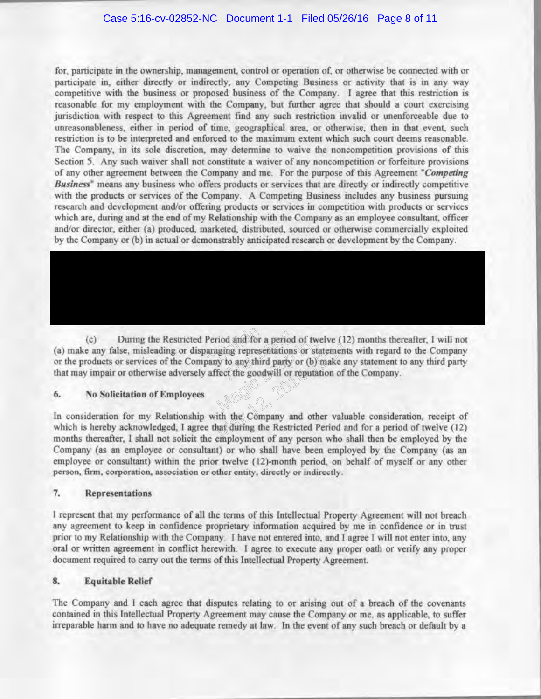for, participate in the ownership, management, control or operation of, or otherwise be connected with or participate in, either directly or indirectly, any Competing Business or activity that is in any way competitive with the business or proposed business of the Company. I agree that this restriction is reasonable for my employment with the Company, but further agree that should a court exercising jurisdiction with respect to this Agreement find any such restriction invalid or unenforceable due to unreasonableness, either in period of time, geographical area, or otherwise, then in that event, such restriction is to be interpreted and enforced to the maximum extent which such court deems reasonable. The Company, in its sole discretion, may determine to waive the noncompetition provisions of this Section 5. Any such waiver shall not constitute a waiver of any noncompetition or forfeiture provisions of any other agreement between the Company and me. For the purpose of this Agreement "Competing Business" means any business who offers products or services that are directly or indirectly competitive with the products or services of the Company. A Competing Business includes any business pursuing research and development and/or offering products or services in competition with products or services which are, during and at the end of my Relationship with the Company as an employee consultant, officer and/or director, either (a) produced, marketed, distributed, sourced or otherwise commercially exploited by the Company or (b) in actual or demonstrably anticipated research or development by the Company.

Period and for a period<br>paraging representation<br>pany to any third party<br>affect the goodwill or  $(c)$ (a) make any false, misleading or disparaging representations or statements with regard to the Company or the products or services of the Company to any third party or (b) make any statement to any third party that may imp

## 6. **No Solicitation of Employees**

In consideration for my Relationship with the Company and other valuable consideration, receipt of which is hereby acknowledged, I agree that during the Restricted Period and for a period of twelve (12) months thereafter, Company (as an employee or consultant) or who shall have been employed by the Company (as an employee or consultant) within the prior twelve (12)-month period, on behalf of myself or any other person, firm, corporation, association or other entity, directly or indirectly.

## 7. Representations

I represent that my performance of all the terms of this Intellectual Property Agreement will not breach any agreement to keep in confidence proprietary information acquired by me in confidence or in trust prior to my Relationship with the Company. I have not entered into, and I agree I will not enter into, any oral or written agreement in conflict herewith. I agree to execute any proper oath or verify any proper document required to carry out the terms of this Intellectual Property Agreement.

## 8. **Equitable Relief**

The Company and I each agree that disputes relating to or arising out of a breach of the covenants contained in this Intellectual Property Agreement may cause the Company or me, as applicable, to suffer irreparable harm and to have no adequate remedy at law. In the event of any such breach or default by a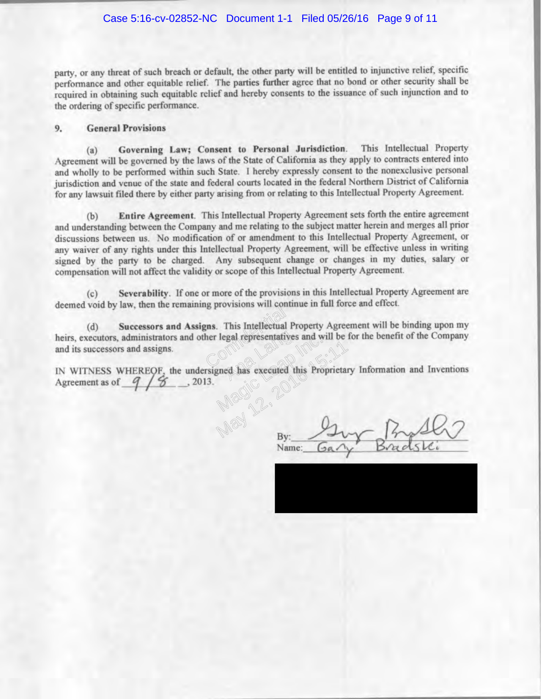party, or any threat of such breach or default, the other party will be entitled to injunctive relief, specific performance and other equitable relief. The parties further agree that no bond or other security shall be required in obtaining such equitable relief and hereby consents to the issuance of such injunction and to the ordering of specific performance.

## **General Provisions** 9.

Governing Law; Consent to Personal Jurisdiction. This Intellectual Property  $(a)$ Agreement will be governed by the laws of the State of California as they apply to contracts entered into and wholly to be performed within such State. I hereby expressly consent to the nonexclusive personal jurisdiction and venue of the state and federal courts located in the federal Northern District of California for any lawsuit filed there by either party arising from or relating to this Intellectual Property Agreement.

Entire Agreement. This Intellectual Property Agreement sets forth the entire agreement  $(b)$ and understanding between the Company and me relating to the subject matter herein and merges all prior discussions between us. No modification of or amendment to this Intellectual Property Agreement, or any waiver of any rights under this Intellectual Property Agreement, will be effective unless in writing signed by the party to be charged. Any subsequent change or changes in my duties, salary or compensation will not affect the validity or scope of this Intellectual Property Agreement.

Severability. If one or more of the provisions in this Intellectual Property Agreement are  $(c)$ 

g provisions will be<br>gal representatively<br>Confidential contract of  $(d)$ egal representative<br>ed has executed and its successors and assigns.

Executed this Proprietar. Agreement as of  $9/8$ 

Name: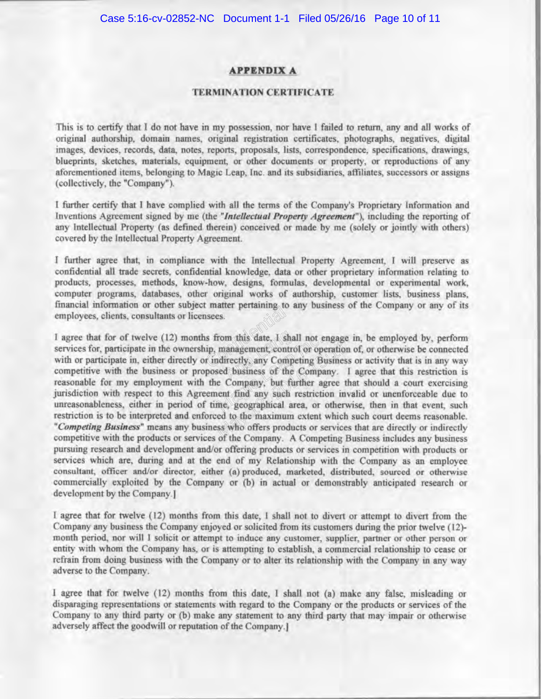## **APPENDIX A**

# **TERMINATION CERTIFICATE**

This is to certify that I do not have in my possession, nor have I failed to return, any and all works of original authorship, domain names, original registration certificates, photographs, negatives, digital images, devices, records, data, notes, reports, proposals, lists, correspondence, specifications, drawings, blueprints, sketches, materials, equipment, or other documents or property, or reproductions of any aforementioned items, belonging to Magic Leap. Inc. and its subsidiaries, affiliates, successors or assigns (collectively, the "Company").

I further certify that I have complied with all the terms of the Company's Proprietary Information and Inventions Agreement signed by me (the "Intellectual Property Agreement"), including the reporting of any Intellectual Property (as defined therein) conceived or made by me (solely or jointly with others) covered by the Intellectual Property Agreement.

I further agree that, in compliance with the Intellectual Property Agreement, I will preserve as confidential all trade secrets, confidential knowledge, data or other proprietary information relating to products, processes, methods, know-how, designs, formulas, developmental or experimental work, computer programs, databases, other original works of authorship, customer lists, business plans,

Inance pertaining to<br>us from this date, 1.6<br>up, management continuity any Com om this date, I sha<br>ranagement contri<br>irectly, any Comp<br>d business of the From thus date, A shall not engage<br>
management control or operation<br>
ndirectly any Competing Business<br>
sed business of the Company. I<br>
e Company, but further agree the<br>
nent find any such restriction inv<br>
me, geographical pursuing research and development and/or offering products or services in competition with products or services which are, during and at the end of my Relationship with the Company as an employee consultant, officer and/or director, either (a) produced, marketed, distributed, sourced or otherwise commercially exploited by the Company or (b) in actual or demonstrably anticipated research or development by the Company.]

I agree that for twelve (12) months from this date, I shall not to divert or attempt to divert from the Company any business the Company enjoyed or solicited from its customers during the prior twelve (12)month period, nor will I solicit or attempt to induce any customer, supplier, partner or other person or entity with whom the Company has, or is attempting to establish, a commercial relationship to cease or refrain from doing business with the Company or to alter its relationship with the Company in any way adverse to the Company.

I agree that for twelve (12) months from this date, I shall not (a) make any false, misleading or disparaging representations or statements with regard to the Company or the products or services of the Company to any third party or (b) make any statement to any third party that may impair or otherwise adversely affect the goodwill or reputation of the Company.]